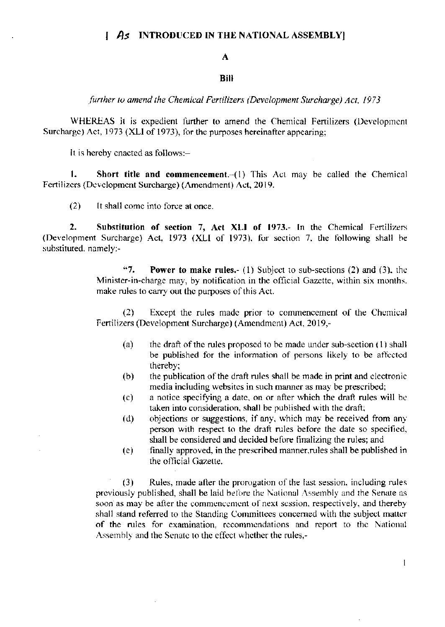# $As$  INTRODUCED IN THE NATIONAL ASSEMBLY

### A

### **Bill**

further to amend the Chemical Fertilizers (Development Surcharge) Act, 1973

WHEREAS it is expedient further to amend the Chemical Fertilizers (Development Surcharge) Act, 1973 (XLI of 1973), for the purposes hereinafter appearing:

It is hereby enacted as follows:-

1. Short title and commencement. $-(1)$  This Act may be called the Chemical Fertilizers (Development Surcharge) (Amendment) Act, 2019.

 $(2)$ It shall come into force at once.

 $2.$ Substitution of section 7, Act XLI of 1973.- In the Chemical Fertilizers (Development Surcharge) Act, 1973 (XLI of 1973), for section 7, the following shall be substituted, namely:-

> $47.$ **Power to make rules.** (1) Subject to sub-sections  $(2)$  and  $(3)$ , the Minister-in-charge may, by notification in the official Gazette, within six months. make rules to carry out the purposes of this Act.

> Except the rules made prior to commencement of the Chemical  $(2)$ Fertilizers (Development Surcharge) (Amendment) Act, 2019,-

- $(a)$ the draft of the rules proposed to be made under sub-section (1) shall be published for the information of persons likely to be affected thereby:
- $(b)$ the publication of the draft rules shall be made in print and electronic media including websites in such manner as may be prescribed;
- a notice specifying a date, on or after which the draft rules will be  $(c)$ taken into consideration, shall be published with the draft;
- objections or suggestions, if any, which may be received from any  $(d)$ person with respect to the draft rules before the date so specified, shall be considered and decided before finalizing the rules; and
- $(e)$ finally approved, in the prescribed manner, rules shall be published in the official Gazette.

Rules, made after the prorogation of the last session, including rules  $(3)$ previously published, shall be laid before the National Assembly and the Senate as soon as may be after the commencement of next session, respectively, and thereby shall stand referred to the Standing Committees concerned with the subject matter of the rules for examination, recommendations and report to the National Assembly and the Senate to the effect whether the rules,-

 $\mathbf{1}$